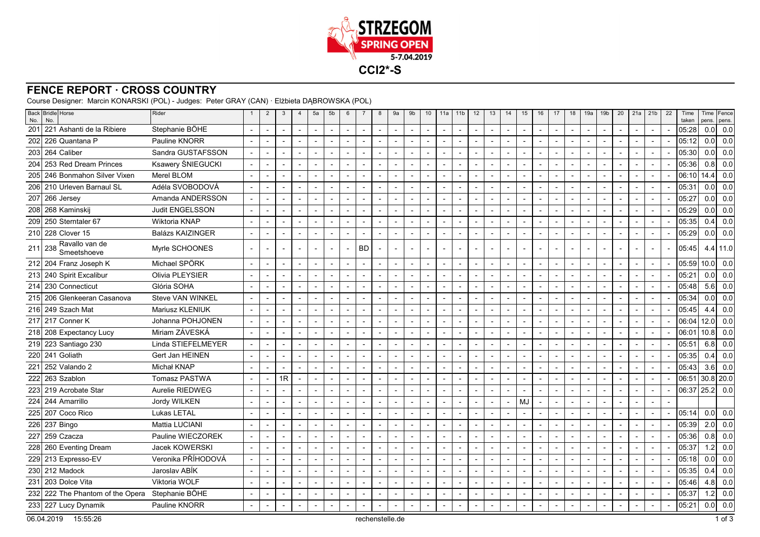

## **FENCE REPORT · CROSS COUNTRY**

Course Designer: Marcin KONARSKI (POL) - Judges: Peter GRAY (CAN) · Elżbieta DĄBROWSKA (POL)

| No. | Back Bridle Horse<br>No.                        | Rider                   | $\mathbf{1}$             | $\overline{2}$           | 3                        | $\overline{4}$           | 5a                       | 5 <sub>b</sub>           | 6              | $\overline{7}$           | 8                        | 9a                       | 9b                       | 10             | 11a                      | 11 <sub>b</sub>          | 12                       | 13                       | 14                       | 15                       | 16                       | 17                       | 18                       | 19a                      | 19 <sub>b</sub>          | 20                       | 21a | 21 <sub>b</sub>          | 22 | Time<br>taken | pens.            | Time Fence<br>pens. |
|-----|-------------------------------------------------|-------------------------|--------------------------|--------------------------|--------------------------|--------------------------|--------------------------|--------------------------|----------------|--------------------------|--------------------------|--------------------------|--------------------------|----------------|--------------------------|--------------------------|--------------------------|--------------------------|--------------------------|--------------------------|--------------------------|--------------------------|--------------------------|--------------------------|--------------------------|--------------------------|-----|--------------------------|----|---------------|------------------|---------------------|
| 201 | 221 Ashanti de la Ribiere                       | Stephanie BÖHE          |                          | $\overline{\phantom{a}}$ | $\blacksquare$           | $\overline{a}$           | $\overline{\phantom{a}}$ | $\overline{a}$           | $\overline{a}$ | $\blacksquare$           | $\blacksquare$           | $\blacksquare$           | $\overline{a}$           | $\overline{a}$ | $\blacksquare$           | $\overline{a}$           | $\overline{\phantom{a}}$ | $\overline{\phantom{a}}$ | $\blacksquare$           | $\overline{\phantom{a}}$ | $\overline{\phantom{a}}$ | $\overline{\phantom{a}}$ |                          | $\blacksquare$           | $\blacksquare$           | $\blacksquare$           |     | $\overline{a}$           |    | 05:28         | 0.0              | 0.0                 |
| 202 | 226 Quantana P                                  | Pauline KNORR           |                          |                          |                          |                          | $\overline{\phantom{a}}$ |                          |                | $\blacksquare$           |                          |                          |                          |                |                          |                          |                          |                          |                          | $\overline{\phantom{a}}$ | $\overline{\phantom{a}}$ |                          |                          |                          |                          | $\overline{\phantom{a}}$ |     |                          |    | 05:12         | 0.0              | 0.0                 |
|     | 203 264 Caliber                                 | Sandra GUSTAFSSON       | $\sim$                   | $\overline{\phantom{a}}$ | $\blacksquare$           |                          | $\overline{\phantom{a}}$ |                          |                | $\blacksquare$           |                          | $\overline{a}$           | $\overline{\phantom{a}}$ |                | $\blacksquare$           |                          | $\blacksquare$           |                          | $\blacksquare$           | $\blacksquare$           | $\overline{\phantom{a}}$ |                          |                          | $\blacksquare$           | $\blacksquare$           | $\blacksquare$           |     |                          |    | 05:30         | 0.0              | 0.0                 |
| 204 | 253 Red Dream Princes                           | Ksawery ŚNIEGUCKI       |                          | $\overline{\phantom{a}}$ |                          |                          | $\blacksquare$           |                          |                | $\overline{a}$           | $\overline{\phantom{0}}$ | $\overline{a}$           |                          |                |                          |                          |                          |                          | $\blacksquare$           | $\blacksquare$           |                          |                          |                          | $\blacksquare$           | $\overline{a}$           | $\overline{a}$           |     |                          |    | 05:36         | 0.8              | 0.0                 |
|     | 205 246 Bonmahon Silver Vixen                   | Merel BLOM              |                          |                          |                          |                          | $\overline{a}$           |                          |                |                          | $\overline{a}$           |                          |                          |                |                          |                          |                          |                          |                          | $\overline{a}$           | $\overline{a}$           |                          |                          |                          |                          |                          |     |                          |    | 06:10         | 14.4             | 0.0                 |
|     | 206 210 Urleven Barnaul SL                      | Adéla SVOBODOVÁ         |                          |                          |                          |                          | $\overline{\phantom{a}}$ | $\sim$                   |                |                          |                          |                          |                          |                |                          |                          |                          | $\overline{\phantom{a}}$ |                          |                          | $\overline{\phantom{a}}$ |                          |                          |                          |                          |                          |     |                          |    | 05:31         | 0.0              | 0.0                 |
|     | 207 266 Jersey                                  | Amanda ANDERSSON        |                          | $\overline{\phantom{a}}$ | $\blacksquare$           | $\overline{\phantom{a}}$ | $\overline{\phantom{a}}$ | $\sim$                   |                | $\blacksquare$           | $\overline{\phantom{a}}$ | $\blacksquare$           | $\overline{\phantom{a}}$ |                | $\blacksquare$           |                          | $\overline{\phantom{a}}$ | $\overline{\phantom{a}}$ | $\overline{\phantom{a}}$ | $\blacksquare$           | $\overline{\phantom{a}}$ |                          |                          | $\overline{\phantom{a}}$ | $\overline{\phantom{a}}$ | $\blacksquare$           |     | $\blacksquare$           |    | 05:27         | 0.0              | 0.0                 |
|     | 208 268 Kaminskij                               | Judit ENGELSSON         |                          |                          | $\blacksquare$           |                          | $\blacksquare$           |                          |                |                          |                          | $\blacksquare$           |                          |                | $\blacksquare$           |                          |                          | $\overline{\phantom{a}}$ |                          | $\blacksquare$           | $\overline{\phantom{a}}$ |                          |                          |                          | $\blacksquare$           | $\blacksquare$           |     | $\overline{\phantom{a}}$ |    | 05:29         | 0.0              | 0.0                 |
|     | 209 250 Sterntaler 67                           | Wiktoria KNAP           |                          |                          | $\overline{\phantom{a}}$ | $\overline{\phantom{0}}$ | $\overline{\phantom{a}}$ | $\overline{\phantom{a}}$ |                | $\overline{\phantom{0}}$ | $\overline{\phantom{0}}$ | $\overline{\phantom{0}}$ | $\overline{a}$           |                | $\overline{a}$           | $\overline{\phantom{0}}$ |                          | $\overline{\phantom{0}}$ | $\overline{\phantom{a}}$ | $\overline{\phantom{0}}$ | $\overline{\phantom{a}}$ |                          |                          |                          | $\overline{\phantom{a}}$ | $\overline{\phantom{a}}$ |     |                          |    | 05:35         | 0.4              | 0.0                 |
|     | 210 228 Clover 15                               | <b>Balázs KAIZINGER</b> | $\overline{\phantom{a}}$ |                          |                          |                          | $\overline{\phantom{a}}$ | $\overline{\phantom{a}}$ |                | $\blacksquare$           | $\overline{a}$           |                          | $\overline{\phantom{0}}$ |                | $\blacksquare$           |                          |                          | $\overline{\phantom{a}}$ |                          | $\overline{\phantom{a}}$ | $\overline{a}$           |                          | $\overline{\phantom{a}}$ |                          | $\overline{a}$           | $\overline{a}$           |     | $\overline{a}$           |    | 05:29         | 0.0              | 0.0                 |
|     | $211$ 238 Ravallo van de<br>Smeetshoeve         | Myrle SCHOONES          |                          |                          |                          |                          |                          | $\overline{\phantom{a}}$ |                | <b>BD</b>                |                          |                          |                          |                |                          |                          |                          | $\overline{a}$           |                          |                          |                          |                          | $\sim$                   |                          | $\overline{a}$           | $\overline{a}$           |     |                          |    | 05:45         |                  | $4.4$ 11.0          |
|     | 212 204 Franz Joseph K                          | Michael SPÖRK           |                          | $\overline{a}$           | $\blacksquare$           | $\blacksquare$           | $\overline{\phantom{a}}$ | $\overline{\phantom{a}}$ |                | $\blacksquare$           | $\overline{a}$           | $\blacksquare$           | $\overline{\phantom{a}}$ | $\overline{a}$ | $\sim$                   |                          | $\overline{a}$           | $\blacksquare$           | $\blacksquare$           | $\overline{\phantom{a}}$ | $\overline{\phantom{a}}$ |                          | $\overline{a}$           | $\blacksquare$           | $\overline{\phantom{a}}$ | $\overline{\phantom{a}}$ |     | $\overline{\phantom{a}}$ |    | 05:59         | 10.0             | 0.0                 |
|     | 213 240 Spirit Excalibur                        | Olivia PLEYSIER         |                          |                          | $\blacksquare$           |                          | $\overline{\phantom{a}}$ | $\overline{\phantom{a}}$ |                | $\overline{\phantom{a}}$ |                          | $\blacksquare$           | $\overline{\phantom{a}}$ |                | $\blacksquare$           |                          |                          | $\overline{\phantom{a}}$ |                          | $\overline{\phantom{a}}$ | $\overline{\phantom{a}}$ |                          |                          |                          | $\overline{\phantom{a}}$ | $\overline{\phantom{a}}$ |     | $\overline{\phantom{a}}$ |    | 05:21         | 0.0              | 0.0                 |
|     | 214 230 Connecticut                             | Glória SOHA             | $\overline{\phantom{a}}$ | $\overline{\phantom{a}}$ | $\overline{\phantom{a}}$ | $\blacksquare$           | $\blacksquare$           | $\overline{\phantom{a}}$ |                | $\blacksquare$           | $\overline{\phantom{a}}$ | $\blacksquare$           | $\overline{\phantom{a}}$ |                | $\blacksquare$           |                          |                          | $\overline{\phantom{a}}$ | $\overline{\phantom{a}}$ | $\blacksquare$           | $\overline{\phantom{a}}$ | $\overline{\phantom{a}}$ |                          |                          | $\blacksquare$           | $\overline{\phantom{a}}$ |     |                          |    | 05:48         | 5.6              | 0.0                 |
|     | 215 206 Glenkeeran Casanova                     | Steve VAN WINKEL        | $\overline{\phantom{a}}$ | $\overline{\phantom{a}}$ | $\overline{\phantom{a}}$ | $\overline{a}$           | $\overline{\phantom{a}}$ | $\overline{a}$           |                | $\overline{\phantom{a}}$ | $\blacksquare$           | $\blacksquare$           | $\overline{a}$           | $\overline{a}$ | $\overline{\phantom{a}}$ | $\overline{\phantom{a}}$ |                          | $\overline{a}$           | $\overline{a}$           | $\overline{\phantom{a}}$ | $\overline{\phantom{a}}$ |                          |                          | $\overline{a}$           | $\blacksquare$           | $\blacksquare$           |     |                          |    | 05:34         | 0.0              | 0.0                 |
|     | 216 249 Szach Mat                               | Mariusz KLENIUK         |                          |                          |                          |                          | $\overline{\phantom{a}}$ |                          |                |                          |                          |                          |                          |                |                          |                          |                          |                          |                          | $\overline{\phantom{a}}$ |                          |                          |                          |                          |                          |                          |     |                          |    | 05:45         | 4.4              | 0.0                 |
|     | 217 217 Conner K                                | Johanna POHJONEN        |                          |                          |                          |                          | $\overline{\phantom{a}}$ |                          |                | $\blacksquare$           |                          | $\overline{a}$           |                          |                |                          |                          |                          |                          |                          | $\overline{\phantom{a}}$ |                          |                          |                          |                          |                          | ÷                        |     |                          |    | 06:04         | 12.0             | 0.0                 |
|     | 218 208 Expectancy Lucy                         | Miriam ZÁVESKÁ          |                          |                          |                          |                          | $\blacksquare$           |                          |                |                          |                          |                          |                          |                |                          |                          |                          |                          |                          | $\overline{a}$           |                          |                          |                          |                          |                          |                          |     |                          |    | 06:01         | 10.8             | 0.0                 |
|     | 219 223 Santiago 230                            | Linda STIEFELMEYER      |                          |                          |                          |                          | $\overline{a}$           |                          |                |                          |                          |                          |                          |                |                          |                          |                          |                          |                          |                          | $\overline{a}$           |                          |                          |                          |                          |                          |     |                          |    | 05:51         | 6.8              | 0.0                 |
|     | 220 241 Goliath                                 | Gert Jan HEINEN         |                          |                          |                          |                          | $\overline{\phantom{a}}$ | $\overline{\phantom{a}}$ |                |                          |                          |                          |                          |                |                          |                          |                          |                          |                          |                          | $\overline{\phantom{a}}$ |                          |                          |                          |                          |                          |     |                          |    | 05:35         | 0.4              | 0.0                 |
| 221 | 252 Valando 2                                   | Michał KNAP             |                          | $\overline{a}$           | $\blacksquare$           |                          | $\overline{\phantom{a}}$ | $\overline{\phantom{a}}$ |                | $\overline{\phantom{a}}$ | $\blacksquare$           | $\overline{\phantom{a}}$ | $\overline{\phantom{0}}$ | $\overline{a}$ | $\sim$                   |                          |                          | $\overline{\phantom{a}}$ | $\blacksquare$           | $\overline{\phantom{a}}$ | $\overline{\phantom{a}}$ |                          |                          | $\blacksquare$           | $\sim$                   | $\overline{\phantom{a}}$ |     | $\overline{\phantom{a}}$ |    | 05:43         | 3.6              | 0.0                 |
| 222 | 263 Szablon                                     | <b>Tomasz PASTWA</b>    | $\overline{\phantom{a}}$ | $\overline{\phantom{a}}$ | 1R                       |                          | $\blacksquare$           |                          |                | $\blacksquare$           |                          | $\blacksquare$           | $\overline{\phantom{a}}$ |                | $\blacksquare$           | $\overline{\phantom{a}}$ |                          | $\overline{\phantom{a}}$ | $\overline{\phantom{a}}$ | $\blacksquare$           | $\overline{\phantom{a}}$ |                          |                          |                          | $\blacksquare$           | $\overline{\phantom{a}}$ |     |                          |    | 06:51         |                  | $30.8$   20.0       |
| 223 | l 219 Acrobate Star                             | Aurelie RIEDWEG         | $\overline{a}$           |                          | $\overline{a}$           | $\overline{\phantom{0}}$ | $\overline{\phantom{a}}$ | $\overline{a}$           |                | $\overline{\phantom{a}}$ | $\overline{\phantom{a}}$ | $\overline{a}$           | $\overline{a}$           |                | $\overline{\phantom{a}}$ | $\overline{a}$           |                          | $\overline{a}$           | $\overline{\phantom{a}}$ | $\overline{a}$           | $\overline{a}$           | $\overline{\phantom{a}}$ |                          | $\overline{\phantom{0}}$ | $\overline{a}$           | $\blacksquare$           |     |                          |    | 06:37         | 25.2             | 0.0                 |
|     | 224 244 Amarrillo                               | Jordy WILKEN            |                          |                          |                          |                          | $\overline{\phantom{a}}$ | $\overline{\phantom{a}}$ |                | ٠                        |                          |                          | $\overline{a}$           |                | $\blacksquare$           | $\blacksquare$           |                          | $\overline{\phantom{a}}$ |                          | MJ                       | $\overline{a}$           |                          |                          |                          | $\blacksquare$           | $\overline{a}$           |     |                          |    |               |                  |                     |
| 225 | 207 Coco Rico                                   | Lukas LETAL             |                          | $\overline{a}$           | $\overline{\phantom{a}}$ | $\overline{\phantom{a}}$ | $\overline{\phantom{a}}$ |                          |                | $\blacksquare$           | $\overline{\phantom{a}}$ | Ĭ.                       | $\overline{\phantom{a}}$ | $\overline{a}$ | $\overline{a}$           | $\blacksquare$           | $\overline{a}$           | $\overline{a}$           |                          | $\blacksquare$           | $\overline{a}$           |                          | $\overline{a}$           | $\blacksquare$           | $\overline{a}$           | $\overline{\phantom{a}}$ |     |                          |    | 05:14         | 0.0              | 0.0                 |
|     | 226 237 Bingo                                   | <b>Mattia LUCIANI</b>   |                          |                          |                          |                          | $\overline{\phantom{a}}$ |                          |                | $\blacksquare$           |                          | $\overline{a}$           | $\overline{\phantom{a}}$ |                |                          |                          |                          |                          |                          | $\blacksquare$           |                          |                          |                          |                          |                          |                          |     |                          |    | 05:39         | 2.0              | 0.0                 |
| 227 | 259 Czacza                                      | Pauline WIECZOREK       |                          | $\overline{\phantom{a}}$ | $\overline{\phantom{a}}$ |                          | $\overline{\phantom{a}}$ |                          |                | $\blacksquare$           | $\overline{a}$           | ٠                        |                          |                | $\blacksquare$           |                          | $\blacksquare$           | $\overline{\phantom{a}}$ | $\overline{\phantom{a}}$ | $\blacksquare$           | $\overline{\phantom{a}}$ |                          |                          | $\blacksquare$           | $\blacksquare$           |                          |     |                          |    | 05:36         | 0.8              | 0.0                 |
|     | 228 260 Eventing Dream                          | Jacek KOWERSKI          | $\overline{a}$           | $\overline{\phantom{a}}$ |                          |                          | $\overline{\phantom{a}}$ | $\overline{\phantom{a}}$ |                | $\blacksquare$           | $\overline{a}$           | $\overline{a}$           |                          | $\overline{a}$ | $\blacksquare$           |                          | $\overline{a}$           | $\overline{\phantom{a}}$ | $\overline{a}$           | $\overline{\phantom{a}}$ | $\blacksquare$           |                          |                          | ٠                        | $\blacksquare$           | $\overline{a}$           |     |                          |    | 05:37         | $1.2$            | 0.0                 |
|     | 229 213 Expresso-EV                             | Veronika PŘÍHODOVÁ      |                          | $\overline{\phantom{a}}$ | $\blacksquare$           | $\overline{\phantom{a}}$ | $\overline{\phantom{a}}$ | $\overline{\phantom{a}}$ |                | $\blacksquare$           | $\overline{\phantom{a}}$ | $\overline{\phantom{a}}$ | $\overline{\phantom{a}}$ | $\blacksquare$ | $\overline{\phantom{a}}$ |                          |                          | $\overline{\phantom{a}}$ | $\blacksquare$           | $\blacksquare$           | $\overline{\phantom{a}}$ |                          |                          | $\blacksquare$           | $\blacksquare$           | $\overline{\phantom{a}}$ |     | $\overline{\phantom{a}}$ |    | 05:18         | 0.0              | 0.0                 |
|     | 230 212 Madock                                  | Jaroslav ABÍK           |                          | $\overline{\phantom{a}}$ | $\blacksquare$           |                          | $\overline{\phantom{a}}$ | $\overline{\phantom{a}}$ |                | $\overline{\phantom{a}}$ |                          | $\blacksquare$           | $\sim$                   |                | $\sim$                   |                          |                          | $\overline{\phantom{a}}$ | $\blacksquare$           | $\overline{\phantom{a}}$ | $\sim$                   |                          | $\overline{\phantom{a}}$ |                          | $\blacksquare$           | $\overline{\phantom{a}}$ |     | $\overline{\phantom{a}}$ |    | 05:35         | 0.4              | 0.0                 |
|     | 231 203 Dolce Vita                              | Viktoria WOLF           | $\overline{\phantom{a}}$ |                          | $\overline{\phantom{a}}$ | $\blacksquare$           | $\blacksquare$           | $\overline{\phantom{a}}$ |                | $\blacksquare$           | $\overline{\phantom{a}}$ | $\blacksquare$           | $\overline{\phantom{a}}$ |                | $\blacksquare$           |                          |                          | $\overline{\phantom{a}}$ | $\overline{\phantom{a}}$ | $\blacksquare$           | $\overline{\phantom{a}}$ |                          |                          |                          | $\blacksquare$           | $\overline{\phantom{a}}$ |     |                          |    | 05:46         | 4.8              | 0.0                 |
|     | 232 222 The Phantom of the Opera Stephanie BÖHE |                         |                          |                          |                          |                          | $\overline{\phantom{a}}$ |                          |                |                          |                          | $\overline{a}$           |                          |                | $\sim$                   |                          |                          |                          |                          | $\overline{a}$           | $\overline{a}$           |                          |                          |                          | $\overline{a}$           | $\blacksquare$           |     |                          |    | 05:37         | 1.2              | 0.0                 |
|     | 233 227 Lucy Dynamik                            | Pauline KNORR           |                          |                          |                          |                          |                          |                          |                |                          |                          |                          |                          |                |                          |                          |                          |                          |                          |                          |                          |                          |                          |                          |                          |                          |     |                          |    | 05:21         | 0.0 <sub>l</sub> | 0.0                 |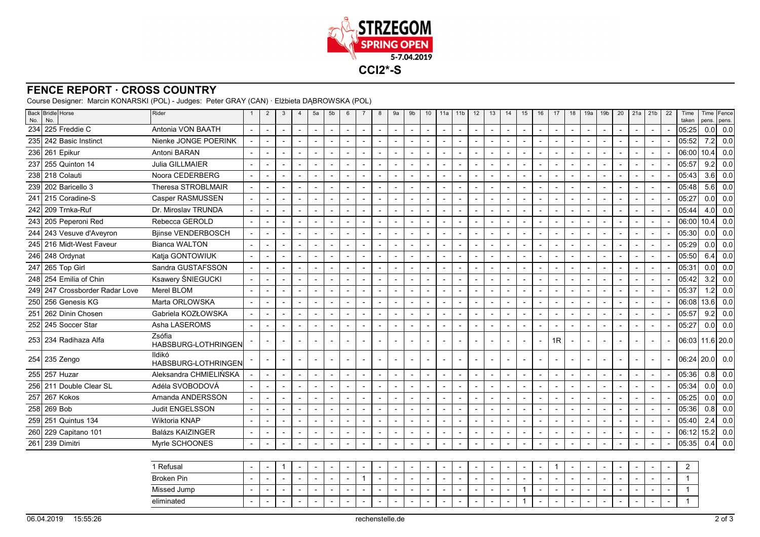

## **FENCE REPORT · CROSS COUNTRY**

Course Designer: Marcin KONARSKI (POL) - Judges: Peter GRAY (CAN) · Elżbieta DĄBROWSKA (POL)

| No. | Back Bridle Horse<br>No.       | Rider                         |                          | $\overline{2}$           | $\mathbf{3}$             | $\overline{4}$           | 5a                       | 5b                       | $6\phantom{1}$ | $\overline{7}$           | 8                        | 9a                       | 9 <sub>b</sub>           | 10                       | 11a                      | 11 <sub>b</sub>          | 12                       | 13                       | 14                       | 15                       | 16                       | 17             | 18                       | 19a                      | 19 <sub>b</sub>          | 20                       | 21a                      | 21 <sub>b</sub>          | 22 | Time<br>taken  | pens.            | Time Fence<br>pens. |
|-----|--------------------------------|-------------------------------|--------------------------|--------------------------|--------------------------|--------------------------|--------------------------|--------------------------|----------------|--------------------------|--------------------------|--------------------------|--------------------------|--------------------------|--------------------------|--------------------------|--------------------------|--------------------------|--------------------------|--------------------------|--------------------------|----------------|--------------------------|--------------------------|--------------------------|--------------------------|--------------------------|--------------------------|----|----------------|------------------|---------------------|
| 234 | 225 Freddie C                  | Antonia VON BAATH             | $\sim$                   | $\blacksquare$           | $\overline{\phantom{a}}$ |                          | $\overline{a}$           | $\overline{\phantom{a}}$ |                | $\blacksquare$           | $\overline{\phantom{a}}$ | $\blacksquare$           | $\blacksquare$           | $\overline{\phantom{a}}$ | $\blacksquare$           | $\blacksquare$           | $\blacksquare$           | $\blacksquare$           |                          | $\overline{\phantom{a}}$ | $\overline{\phantom{a}}$ |                | $\overline{\phantom{a}}$ | $\overline{a}$           | $\sim$                   | $\overline{a}$           | $\sim$                   | $\sim$                   |    | 05:25          | 0.0              | 0.0                 |
|     | 235 242 Basic Instinct         | Nienke JONGE POERINK          |                          |                          | $\overline{a}$           |                          |                          |                          |                |                          |                          | $\overline{a}$           | $\blacksquare$           |                          |                          |                          |                          | $\overline{a}$           | $\overline{\phantom{0}}$ | $\overline{a}$           |                          |                |                          |                          | $\overline{\phantom{a}}$ |                          |                          | $\overline{a}$           |    | 05:52          | 7.2              | 0.0                 |
|     | 236 261 Epikur                 | Antoni BARAN                  |                          | $\overline{\phantom{a}}$ |                          |                          | $\overline{\phantom{a}}$ | $\overline{\phantom{a}}$ |                |                          |                          | $\blacksquare$           | $\overline{\phantom{a}}$ | $\overline{\phantom{a}}$ |                          |                          | $\blacksquare$           |                          |                          | $\overline{\phantom{a}}$ | $\overline{\phantom{a}}$ |                |                          |                          | $\overline{\phantom{a}}$ |                          |                          |                          |    | 06:00          | 10.4             | 0.0                 |
|     | 237 255 Quinton 14             | Julia GILLMAIER               |                          | $\blacksquare$           | $\sim$                   |                          | $\blacksquare$           | $\overline{\phantom{a}}$ |                |                          |                          | $\blacksquare$           | $\sim$                   | $\overline{\phantom{a}}$ | $\blacksquare$           |                          |                          | $\overline{\phantom{a}}$ |                          | $\overline{\phantom{a}}$ | $\sim$                   |                |                          |                          | $\overline{\phantom{a}}$ | $\overline{\phantom{a}}$ | $\overline{\phantom{a}}$ | $\blacksquare$           |    | 05:57          | 9.2              | 0.0                 |
|     | 238 218 Colauti                | Noora CEDERBERG               | $\overline{\phantom{a}}$ |                          |                          |                          |                          | $\overline{\phantom{a}}$ |                |                          |                          |                          |                          |                          |                          |                          |                          |                          |                          |                          |                          |                |                          |                          | $\overline{a}$           |                          |                          |                          |    | 05:43          | 3.6              | 0.0                 |
|     | 239 202 Baricello 3            | Theresa STROBLMAIR            | $\overline{\phantom{a}}$ | $\overline{a}$           |                          |                          | $\overline{a}$           | $\overline{\phantom{a}}$ |                | $\overline{\phantom{a}}$ | $\overline{a}$           | $\blacksquare$           | $\overline{\phantom{a}}$ |                          | $\overline{\phantom{a}}$ | $\overline{a}$           | $\overline{\phantom{a}}$ | $\overline{a}$           |                          | $\overline{a}$           | $\blacksquare$           |                |                          |                          | $\blacksquare$           |                          |                          | $\overline{a}$           |    | 05:48          | 5.6              | 0.0                 |
|     | 241 215 Coradine-S             | Casper RASMUSSEN              |                          | $\overline{\phantom{a}}$ | $\sim$                   |                          |                          | $\overline{\phantom{a}}$ |                |                          |                          | $\blacksquare$           | $\overline{\phantom{a}}$ | $\blacksquare$           | $\blacksquare$           | $\overline{\phantom{a}}$ |                          | $\overline{\phantom{a}}$ | $\overline{\phantom{a}}$ | $\overline{\phantom{a}}$ | $\overline{\phantom{a}}$ |                |                          |                          | $\overline{\phantom{a}}$ | $\overline{\phantom{a}}$ | $\overline{\phantom{a}}$ | $\blacksquare$           |    | 05:27          | 0.0 <sub>l</sub> | 0.0                 |
|     | 242 209 Trnka-Ruf              | Dr. Miroslav TRUNDA           |                          | $\overline{\phantom{a}}$ |                          |                          | $\overline{\phantom{a}}$ | $\overline{\phantom{a}}$ |                |                          |                          |                          | $\overline{\phantom{a}}$ |                          |                          |                          |                          |                          |                          | $\overline{\phantom{a}}$ | $\overline{\phantom{a}}$ |                |                          |                          | $\overline{\phantom{a}}$ |                          |                          |                          |    | 05:44          | 4.0              | 0.0                 |
|     | 243 205 Peperoni Red           | Rebecca GEROLD                | $\overline{a}$           |                          | $\overline{\phantom{a}}$ |                          | $\overline{\phantom{a}}$ | $\overline{\phantom{a}}$ |                |                          |                          | $\overline{a}$           |                          | $\overline{\phantom{a}}$ | $\overline{a}$           |                          |                          | $\overline{\phantom{a}}$ |                          | $\overline{\phantom{a}}$ | $\overline{\phantom{a}}$ |                |                          |                          | $\blacksquare$           |                          | $\overline{\phantom{a}}$ | $\sim$                   |    | 06:00          | 10.4             | 0.0                 |
|     | 244 243 Vesuve d'Aveyron       | <b>Bjinse VENDERBOSCH</b>     |                          |                          |                          |                          |                          | $\overline{\phantom{a}}$ |                |                          |                          | $\overline{a}$           | $\blacksquare$           |                          |                          |                          |                          |                          |                          | $\blacksquare$           | $\overline{a}$           |                |                          |                          | $\blacksquare$           |                          |                          | $\overline{\phantom{a}}$ |    | 05:30          | 0.0              | 0.0                 |
|     | 245 216 Midt-West Faveur       | <b>Bianca WALTON</b>          | $\overline{\phantom{a}}$ | $\overline{a}$           | $\overline{a}$           | $\overline{a}$           | $\overline{\phantom{a}}$ | $\overline{\phantom{a}}$ |                | $\overline{\phantom{a}}$ | $\overline{\phantom{a}}$ | $\overline{\phantom{a}}$ | $\blacksquare$           | $\overline{\phantom{a}}$ | $\overline{a}$           | $\blacksquare$           | $\overline{a}$           | $\overline{\phantom{a}}$ | $\overline{a}$           | $\overline{a}$           | $\overline{\phantom{a}}$ |                | $\sim$                   | $\overline{a}$           | $\overline{\phantom{a}}$ | $\overline{a}$           | $\overline{a}$           | $\overline{a}$           |    | 05:29          | 0.0              | 0.0                 |
|     | 246 248 Ordynat                | Katja GONTOWIUK               |                          | $\blacksquare$           | $\overline{\phantom{a}}$ |                          | $\blacksquare$           | $\overline{\phantom{a}}$ |                |                          |                          | $\blacksquare$           | $\overline{\phantom{a}}$ |                          | $\blacksquare$           |                          |                          | $\overline{\phantom{a}}$ |                          | $\blacksquare$           | $\blacksquare$           |                |                          |                          | $\overline{\phantom{a}}$ |                          |                          | $\overline{\phantom{a}}$ |    | 05:50          | 6.4              | 0.0                 |
|     | 247 265 Top Girl               | Sandra GUSTAFSSON             | $\overline{\phantom{a}}$ |                          |                          |                          |                          | $\overline{\phantom{a}}$ |                |                          |                          | $\overline{a}$           | $\blacksquare$           |                          |                          |                          |                          | $\overline{a}$           |                          |                          | $\overline{a}$           |                |                          |                          | $\overline{a}$           | $\overline{a}$           |                          |                          |    | 05:31          | 0.0              | 0.0                 |
|     | 248 254 Emilia of Chin         | Ksawery ŚNIEGUCKI             | $\sim$                   |                          |                          |                          |                          | $\overline{\phantom{a}}$ |                |                          |                          | $\overline{a}$           |                          |                          |                          |                          |                          |                          |                          | $\overline{a}$           | $\overline{a}$           |                |                          |                          | $\overline{a}$           |                          |                          | $\overline{a}$           |    | 05:42          | 3.2              | 0.0                 |
|     | 249 247 Crossborder Radar Love | Merel BLOM                    | $\blacksquare$           |                          | $\sim$                   | $\blacksquare$           |                          | $\overline{\phantom{a}}$ |                |                          |                          | $\blacksquare$           | $\overline{\phantom{a}}$ | $\overline{\phantom{a}}$ | $\blacksquare$           | $\blacksquare$           |                          | $\overline{\phantom{a}}$ | $\blacksquare$           | $\blacksquare$           | $\overline{\phantom{a}}$ |                |                          |                          | $\overline{\phantom{a}}$ | $\overline{\phantom{a}}$ | $\overline{\phantom{a}}$ | $\sim$                   |    | 05:37          | 1.2              | 0.0                 |
|     | 250 256 Genesis KG             | Marta ORLOWSKA                |                          | $\blacksquare$           |                          |                          | $\blacksquare$           | $\blacksquare$           |                | $\overline{\phantom{a}}$ |                          | $\overline{\phantom{a}}$ | $\blacksquare$           | $\overline{\phantom{a}}$ |                          |                          | $\blacksquare$           |                          |                          | $\overline{\phantom{a}}$ | $\overline{\phantom{a}}$ |                | $\overline{\phantom{a}}$ |                          | $\overline{\phantom{a}}$ |                          |                          |                          |    | 06:08          | 13.6             | 0.0                 |
|     | 251 262 Dinin Chosen           | Gabriela KOZŁOWSKA            |                          |                          | $\overline{\phantom{a}}$ |                          |                          | $\overline{\phantom{a}}$ |                |                          |                          | $\blacksquare$           | $\blacksquare$           | $\overline{\phantom{a}}$ | $\blacksquare$           |                          |                          | $\overline{\phantom{a}}$ |                          | $\overline{\phantom{a}}$ | $\overline{\phantom{a}}$ |                |                          |                          | $\blacksquare$           |                          |                          | $\blacksquare$           |    | 05:57          | 9.2              | 0.0                 |
|     | 252 245 Soccer Star            | Asha LASEROMS                 | $\overline{\phantom{a}}$ |                          |                          |                          | $\overline{\phantom{a}}$ | $\overline{a}$           |                |                          |                          | $\overline{a}$           | $\overline{\phantom{a}}$ |                          |                          | $\blacksquare$           |                          |                          | $\overline{\phantom{0}}$ | $\overline{\phantom{a}}$ | $\overline{\phantom{a}}$ |                |                          |                          | $\overline{a}$           |                          |                          | $\overline{a}$           |    | 05:27          | 0.0              | 0.0                 |
|     | 253 234 Radihaza Alfa          | Zsófia<br>HABSBURG-LOTHRINGEN |                          |                          | $\overline{\phantom{a}}$ |                          |                          | . .                      |                | $\overline{\phantom{a}}$ |                          |                          | $\overline{\phantom{a}}$ |                          |                          | $\overline{\phantom{a}}$ |                          | $\overline{\phantom{a}}$ |                          | $\overline{\phantom{a}}$ | $\overline{\phantom{a}}$ | 1R             |                          |                          |                          | $\overline{\phantom{a}}$ |                          |                          |    | 06:03          | $11.6$   20.0    |                     |
|     | 254 235 Zengo                  | Ildikó<br>HABSBURG-LOTHRINGEN |                          |                          | $\overline{\phantom{a}}$ |                          | $\overline{\phantom{a}}$ | $\overline{\phantom{a}}$ |                | $\overline{\phantom{a}}$ |                          | $\blacksquare$           | $\overline{\phantom{a}}$ |                          | $\blacksquare$           | $\overline{\phantom{a}}$ | $\blacksquare$           | $\overline{\phantom{a}}$ |                          | $\overline{\phantom{a}}$ | $\overline{\phantom{a}}$ |                |                          |                          | $\overline{\phantom{a}}$ | $\overline{\phantom{a}}$ |                          | $\blacksquare$           |    | 06:24          | 20.0             | 0.0                 |
|     | 255 257 Huzar                  | Aleksandra CHMIELIŃSKA        |                          |                          | $\overline{\phantom{a}}$ |                          | $\blacksquare$           | $\overline{\phantom{a}}$ |                |                          |                          | $\blacksquare$           | $\blacksquare$           |                          |                          |                          |                          | $\overline{\phantom{a}}$ |                          | $\overline{\phantom{a}}$ | $\overline{\phantom{a}}$ |                | $\overline{\phantom{a}}$ |                          | $\blacksquare$           | $\overline{\phantom{a}}$ |                          | $\blacksquare$           |    | 05:36          | 0.8              | 0.0                 |
|     | 256 211 Double Clear SL        | Adéla SVOBODOVÁ               |                          |                          | $\overline{\phantom{a}}$ |                          |                          | $\overline{\phantom{a}}$ |                |                          |                          | $\blacksquare$           |                          |                          |                          |                          |                          | $\overline{\phantom{a}}$ |                          |                          | $\overline{\phantom{a}}$ |                |                          |                          | $\overline{\phantom{a}}$ |                          | $\overline{\phantom{a}}$ | $\sim$                   |    | 05:34          | 0.0              | 0.0                 |
| 257 | 267 Kokos                      | Amanda ANDERSSON              |                          |                          |                          |                          |                          | $\overline{\phantom{a}}$ |                |                          |                          | $\overline{a}$           | $\overline{\phantom{a}}$ |                          |                          |                          |                          |                          | $\overline{a}$           | $\overline{\phantom{a}}$ | $\overline{a}$           |                |                          |                          | $\overline{\phantom{a}}$ |                          |                          |                          |    | 05:25          | 0.0              | 0.0                 |
|     | 258 269 Bob                    | <b>Judit ENGELSSON</b>        | $\blacksquare$           | $\blacksquare$           | $\overline{\phantom{a}}$ | $\blacksquare$           | $\blacksquare$           | $\overline{\phantom{a}}$ |                | $\blacksquare$           | $\blacksquare$           | $\blacksquare$           | $\overline{\phantom{a}}$ | $\overline{\phantom{a}}$ | $\blacksquare$           | $\blacksquare$           | $\blacksquare$           | $\overline{\phantom{a}}$ | $\blacksquare$           | $\blacksquare$           | $\overline{\phantom{a}}$ |                | $\overline{a}$           | $\overline{\phantom{a}}$ | $\blacksquare$           | $\blacksquare$           | $\overline{\phantom{a}}$ | $\overline{\phantom{a}}$ |    | 05:36          | 0.8              | 0.0                 |
|     | 259 251 Quintus 134            | Wiktoria KNAP                 |                          | $\blacksquare$           | $\overline{\phantom{a}}$ | $\overline{\phantom{a}}$ | $\blacksquare$           | $\overline{\phantom{a}}$ |                | $\blacksquare$           | $\blacksquare$           | $\blacksquare$           | $\overline{\phantom{a}}$ | $\overline{\phantom{a}}$ | $\blacksquare$           | $\blacksquare$           | $\overline{\phantom{a}}$ | $\overline{\phantom{a}}$ | $\overline{\phantom{a}}$ | $\blacksquare$           | $\overline{\phantom{a}}$ |                | $\overline{\phantom{a}}$ | $\overline{\phantom{a}}$ | $\overline{\phantom{a}}$ | $\overline{\phantom{a}}$ | $\overline{\phantom{a}}$ | $\sim$                   |    | 05:40          | 2.4              | 0.0                 |
|     | 260 229 Capitano 101           | <b>Balázs KAIZINGER</b>       |                          |                          |                          |                          |                          |                          |                |                          |                          |                          |                          |                          |                          |                          |                          |                          |                          |                          |                          |                |                          |                          |                          | $\blacksquare$           |                          |                          |    | 06:12          | 15.2             | 0.0                 |
|     | 261 239 Dimitri                | Myrle SCHOONES                | $\overline{\phantom{a}}$ | $\overline{\phantom{a}}$ |                          |                          | $\blacksquare$           | $\overline{\phantom{a}}$ |                |                          |                          | $\overline{\phantom{a}}$ | $\overline{\phantom{a}}$ |                          |                          | $\blacksquare$           | $\blacksquare$           | $\overline{\phantom{a}}$ |                          | $\overline{\phantom{a}}$ | $\overline{\phantom{a}}$ |                |                          |                          | $\overline{\phantom{a}}$ |                          |                          |                          |    | 05:35          | 0.4              | 0.0                 |
|     |                                | 1 Refusal                     | $\sim$                   | $\overline{\phantom{a}}$ | $\overline{1}$           | $\overline{a}$           | $\sim$                   | $\overline{\phantom{a}}$ |                | $\sim$                   | $\overline{\phantom{a}}$ | $\sim$                   | $\sim$                   | $\sim$                   | $\overline{\phantom{a}}$ | $\blacksquare$           | $\sim$                   | $\sim$                   | $\overline{\phantom{a}}$ | $\sim$                   | $\overline{\phantom{a}}$ | $\overline{1}$ | $\overline{a}$           |                          | $\overline{\phantom{a}}$ | $\sim$                   | $\sim$                   | $\sim$                   |    | $\overline{2}$ |                  |                     |

| <sup>1</sup> Refusal | - |                          | - | $\overline{\phantom{0}}$ | $\overline{\phantom{0}}$ | $\overline{\phantom{a}}$ |   | $\overline{\phantom{0}}$ |     | $\overline{\phantom{a}}$ |  | $\overline{\phantom{0}}$ | $\overline{\phantom{a}}$ | - |   | $\overline{\phantom{0}}$ |   | $\overline{\phantom{a}}$ | -                        | $\overline{\phantom{0}}$ |  |
|----------------------|---|--------------------------|---|--------------------------|--------------------------|--------------------------|---|--------------------------|-----|--------------------------|--|--------------------------|--------------------------|---|---|--------------------------|---|--------------------------|--------------------------|--------------------------|--|
| <b>Broken Pin</b>    |   |                          |   | -                        |                          |                          | - | $\overline{\phantom{0}}$ | . . | $\overline{\phantom{0}}$ |  |                          | $\overline{\phantom{a}}$ | - | - |                          | - | -                        | -                        | $\overline{\phantom{a}}$ |  |
| Missed Jump          | - | $\overline{\phantom{a}}$ |   |                          |                          | $\sim$                   |   |                          | -   | $-$                      |  |                          |                          |   | - |                          | - | $\overline{\phantom{0}}$ | $\overline{\phantom{0}}$ | $\overline{\phantom{0}}$ |  |
| eliminated           |   | $\overline{\phantom{a}}$ |   |                          |                          | $\overline{\phantom{0}}$ |   |                          |     | -                        |  |                          |                          |   | - |                          |   | $\overline{\phantom{0}}$ | -                        | $\overline{\phantom{0}}$ |  |